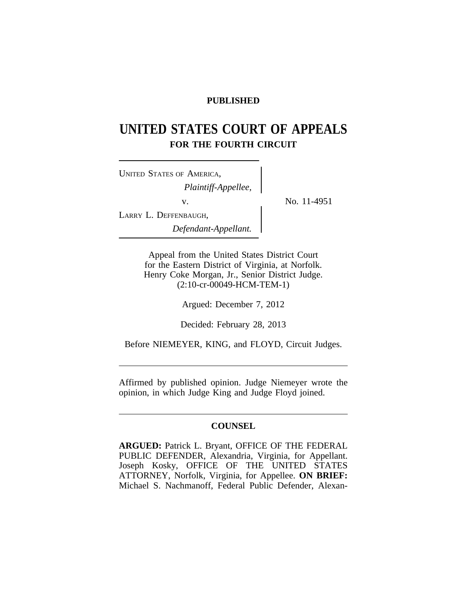## **PUBLISHED**

# **UNITED STATES COURT OF APPEALS FOR THE FOURTH CIRCUIT**

| <b>UNITED STATES OF AMERICA,</b> |  |
|----------------------------------|--|
| Plaintiff-Appellee,              |  |
| V.                               |  |
| LARRY L. DEFFENBAUGH,            |  |
| Defendant-Appellant.             |  |

No. 11-4951

Appeal from the United States District Court for the Eastern District of Virginia, at Norfolk. Henry Coke Morgan, Jr., Senior District Judge. (2:10-cr-00049-HCM-TEM-1)

Argued: December 7, 2012

Decided: February 28, 2013

Before NIEMEYER, KING, and FLOYD, Circuit Judges.

Affirmed by published opinion. Judge Niemeyer wrote the opinion, in which Judge King and Judge Floyd joined.

## **COUNSEL**

**ARGUED:** Patrick L. Bryant, OFFICE OF THE FEDERAL PUBLIC DEFENDER, Alexandria, Virginia, for Appellant. Joseph Kosky, OFFICE OF THE UNITED STATES ATTORNEY, Norfolk, Virginia, for Appellee. **ON BRIEF:** Michael S. Nachmanoff, Federal Public Defender, Alexan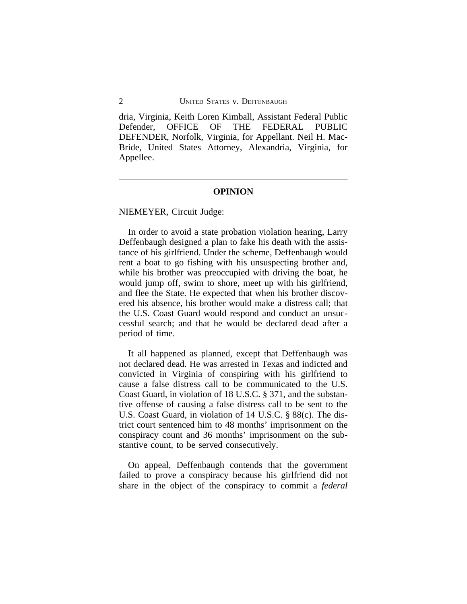dria, Virginia, Keith Loren Kimball, Assistant Federal Public Defender, OFFICE OF THE FEDERAL PUBLIC DEFENDER, Norfolk, Virginia, for Appellant. Neil H. Mac-Bride, United States Attorney, Alexandria, Virginia, for Appellee.

#### **OPINION**

NIEMEYER, Circuit Judge:

In order to avoid a state probation violation hearing, Larry Deffenbaugh designed a plan to fake his death with the assistance of his girlfriend. Under the scheme, Deffenbaugh would rent a boat to go fishing with his unsuspecting brother and, while his brother was preoccupied with driving the boat, he would jump off, swim to shore, meet up with his girlfriend, and flee the State. He expected that when his brother discovered his absence, his brother would make a distress call; that the U.S. Coast Guard would respond and conduct an unsuccessful search; and that he would be declared dead after a period of time.

It all happened as planned, except that Deffenbaugh was not declared dead. He was arrested in Texas and indicted and convicted in Virginia of conspiring with his girlfriend to cause a false distress call to be communicated to the U.S. Coast Guard, in violation of 18 U.S.C. § 371, and the substantive offense of causing a false distress call to be sent to the U.S. Coast Guard, in violation of 14 U.S.C. § 88(c). The district court sentenced him to 48 months' imprisonment on the conspiracy count and 36 months' imprisonment on the substantive count, to be served consecutively.

On appeal, Deffenbaugh contends that the government failed to prove a conspiracy because his girlfriend did not share in the object of the conspiracy to commit a *federal*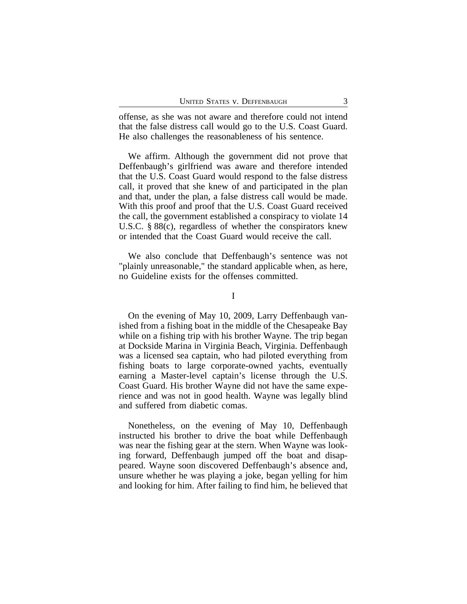offense, as she was not aware and therefore could not intend that the false distress call would go to the U.S. Coast Guard. He also challenges the reasonableness of his sentence.

We affirm. Although the government did not prove that Deffenbaugh's girlfriend was aware and therefore intended that the U.S. Coast Guard would respond to the false distress call, it proved that she knew of and participated in the plan and that, under the plan, a false distress call would be made. With this proof and proof that the U.S. Coast Guard received the call, the government established a conspiracy to violate 14 U.S.C. § 88(c), regardless of whether the conspirators knew or intended that the Coast Guard would receive the call.

We also conclude that Deffenbaugh's sentence was not "plainly unreasonable," the standard applicable when, as here, no Guideline exists for the offenses committed.

I

On the evening of May 10, 2009, Larry Deffenbaugh vanished from a fishing boat in the middle of the Chesapeake Bay while on a fishing trip with his brother Wayne. The trip began at Dockside Marina in Virginia Beach, Virginia. Deffenbaugh was a licensed sea captain, who had piloted everything from fishing boats to large corporate-owned yachts, eventually earning a Master-level captain's license through the U.S. Coast Guard. His brother Wayne did not have the same experience and was not in good health. Wayne was legally blind and suffered from diabetic comas.

Nonetheless, on the evening of May 10, Deffenbaugh instructed his brother to drive the boat while Deffenbaugh was near the fishing gear at the stern. When Wayne was looking forward, Deffenbaugh jumped off the boat and disappeared. Wayne soon discovered Deffenbaugh's absence and, unsure whether he was playing a joke, began yelling for him and looking for him. After failing to find him, he believed that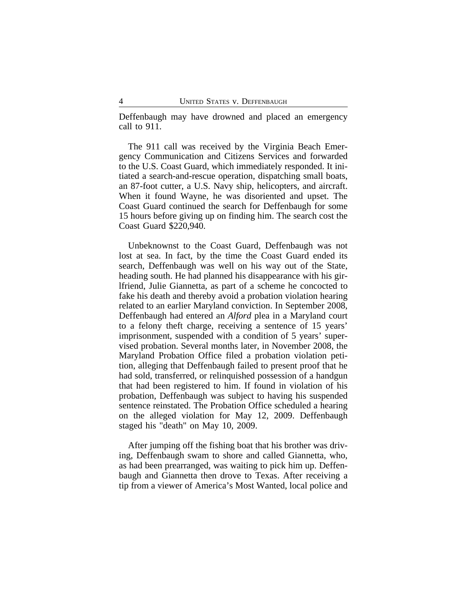Deffenbaugh may have drowned and placed an emergency call to 911.

The 911 call was received by the Virginia Beach Emergency Communication and Citizens Services and forwarded to the U.S. Coast Guard, which immediately responded. It initiated a search-and-rescue operation, dispatching small boats, an 87-foot cutter, a U.S. Navy ship, helicopters, and aircraft. When it found Wayne, he was disoriented and upset. The Coast Guard continued the search for Deffenbaugh for some 15 hours before giving up on finding him. The search cost the Coast Guard \$220,940.

Unbeknownst to the Coast Guard, Deffenbaugh was not lost at sea. In fact, by the time the Coast Guard ended its search, Deffenbaugh was well on his way out of the State, heading south. He had planned his disappearance with his girlfriend, Julie Giannetta, as part of a scheme he concocted to fake his death and thereby avoid a probation violation hearing related to an earlier Maryland conviction. In September 2008, Deffenbaugh had entered an *Alford* plea in a Maryland court to a felony theft charge, receiving a sentence of 15 years' imprisonment, suspended with a condition of 5 years' supervised probation. Several months later, in November 2008, the Maryland Probation Office filed a probation violation petition, alleging that Deffenbaugh failed to present proof that he had sold, transferred, or relinquished possession of a handgun that had been registered to him. If found in violation of his probation, Deffenbaugh was subject to having his suspended sentence reinstated. The Probation Office scheduled a hearing on the alleged violation for May 12, 2009. Deffenbaugh staged his "death" on May 10, 2009.

After jumping off the fishing boat that his brother was driving, Deffenbaugh swam to shore and called Giannetta, who, as had been prearranged, was waiting to pick him up. Deffenbaugh and Giannetta then drove to Texas. After receiving a tip from a viewer of America's Most Wanted, local police and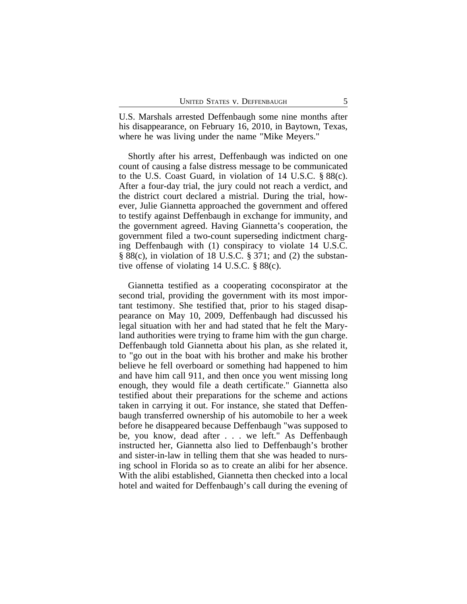U.S. Marshals arrested Deffenbaugh some nine months after his disappearance, on February 16, 2010, in Baytown, Texas, where he was living under the name "Mike Meyers."

Shortly after his arrest, Deffenbaugh was indicted on one count of causing a false distress message to be communicated to the U.S. Coast Guard, in violation of 14 U.S.C. § 88(c). After a four-day trial, the jury could not reach a verdict, and the district court declared a mistrial. During the trial, however, Julie Giannetta approached the government and offered to testify against Deffenbaugh in exchange for immunity, and the government agreed. Having Giannetta's cooperation, the government filed a two-count superseding indictment charging Deffenbaugh with (1) conspiracy to violate 14 U.S.C. § 88(c), in violation of 18 U.S.C. § 371; and (2) the substantive offense of violating 14 U.S.C. § 88(c).

Giannetta testified as a cooperating coconspirator at the second trial, providing the government with its most important testimony. She testified that, prior to his staged disappearance on May 10, 2009, Deffenbaugh had discussed his legal situation with her and had stated that he felt the Maryland authorities were trying to frame him with the gun charge. Deffenbaugh told Giannetta about his plan, as she related it, to "go out in the boat with his brother and make his brother believe he fell overboard or something had happened to him and have him call 911, and then once you went missing long enough, they would file a death certificate." Giannetta also testified about their preparations for the scheme and actions taken in carrying it out. For instance, she stated that Deffenbaugh transferred ownership of his automobile to her a week before he disappeared because Deffenbaugh "was supposed to be, you know, dead after . . . we left." As Deffenbaugh instructed her, Giannetta also lied to Deffenbaugh's brother and sister-in-law in telling them that she was headed to nursing school in Florida so as to create an alibi for her absence. With the alibi established, Giannetta then checked into a local hotel and waited for Deffenbaugh's call during the evening of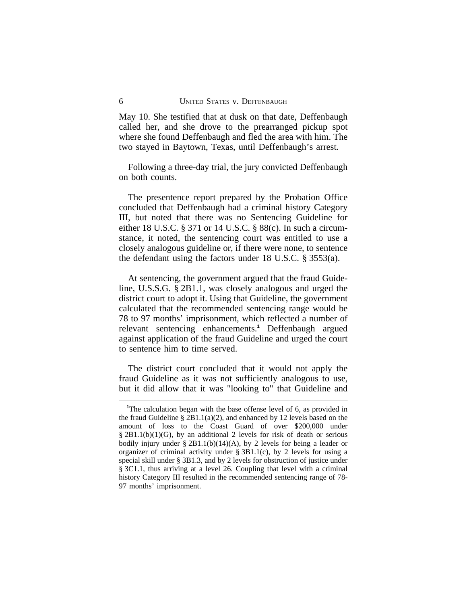May 10. She testified that at dusk on that date, Deffenbaugh called her, and she drove to the prearranged pickup spot where she found Deffenbaugh and fled the area with him. The two stayed in Baytown, Texas, until Deffenbaugh's arrest.

Following a three-day trial, the jury convicted Deffenbaugh on both counts.

The presentence report prepared by the Probation Office concluded that Deffenbaugh had a criminal history Category III, but noted that there was no Sentencing Guideline for either 18 U.S.C. § 371 or 14 U.S.C. § 88(c). In such a circumstance, it noted, the sentencing court was entitled to use a closely analogous guideline or, if there were none, to sentence the defendant using the factors under 18 U.S.C. § 3553(a).

At sentencing, the government argued that the fraud Guideline, U.S.S.G. § 2B1.1, was closely analogous and urged the district court to adopt it. Using that Guideline, the government calculated that the recommended sentencing range would be 78 to 97 months' imprisonment, which reflected a number of relevant sentencing enhancements.**<sup>1</sup>** Deffenbaugh argued against application of the fraud Guideline and urged the court to sentence him to time served.

The district court concluded that it would not apply the fraud Guideline as it was not sufficiently analogous to use, but it did allow that it was "looking to" that Guideline and

**<sup>1</sup>**The calculation began with the base offense level of 6, as provided in the fraud Guideline  $\S 2B1.1(a)(2)$ , and enhanced by 12 levels based on the amount of loss to the Coast Guard of over \$200,000 under § 2B1.1(b)(1)(G), by an additional 2 levels for risk of death or serious bodily injury under  $\S 2B1.1(b)(14)(A)$ , by 2 levels for being a leader or organizer of criminal activity under  $\S 3B1.1(c)$ , by 2 levels for using a special skill under § 3B1.3, and by 2 levels for obstruction of justice under § 3C1.1, thus arriving at a level 26. Coupling that level with a criminal history Category III resulted in the recommended sentencing range of 78- 97 months' imprisonment.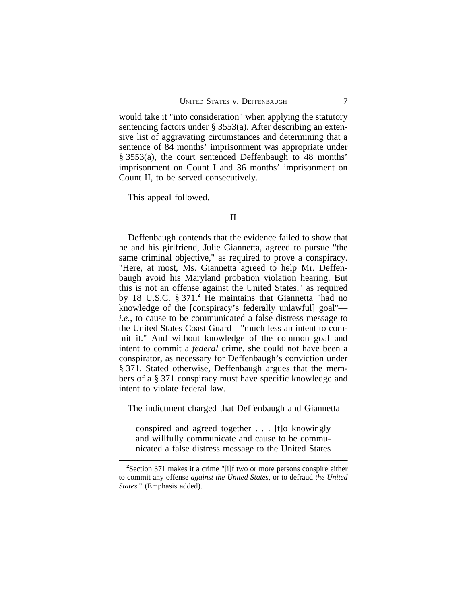would take it "into consideration" when applying the statutory sentencing factors under § 3553(a). After describing an extensive list of aggravating circumstances and determining that a sentence of 84 months' imprisonment was appropriate under § 3553(a), the court sentenced Deffenbaugh to 48 months' imprisonment on Count I and 36 months' imprisonment on Count II, to be served consecutively.

This appeal followed.

#### II

Deffenbaugh contends that the evidence failed to show that he and his girlfriend, Julie Giannetta, agreed to pursue "the same criminal objective," as required to prove a conspiracy. "Here, at most, Ms. Giannetta agreed to help Mr. Deffenbaugh avoid his Maryland probation violation hearing. But this is not an offense against the United States," as required by 18 U.S.C. § 371.**<sup>2</sup>** He maintains that Giannetta "had no knowledge of the [conspiracy's federally unlawful] goal" *i.e.*, to cause to be communicated a false distress message to the United States Coast Guard—"much less an intent to commit it." And without knowledge of the common goal and intent to commit a *federal* crime, she could not have been a conspirator, as necessary for Deffenbaugh's conviction under § 371. Stated otherwise, Deffenbaugh argues that the members of a § 371 conspiracy must have specific knowledge and intent to violate federal law.

The indictment charged that Deffenbaugh and Giannetta

conspired and agreed together . . . [t]o knowingly and willfully communicate and cause to be communicated a false distress message to the United States

**<sup>2</sup>**Section 371 makes it a crime "[i]f two or more persons conspire either to commit any offense *against the United States*, or to defraud *the United States*." (Emphasis added).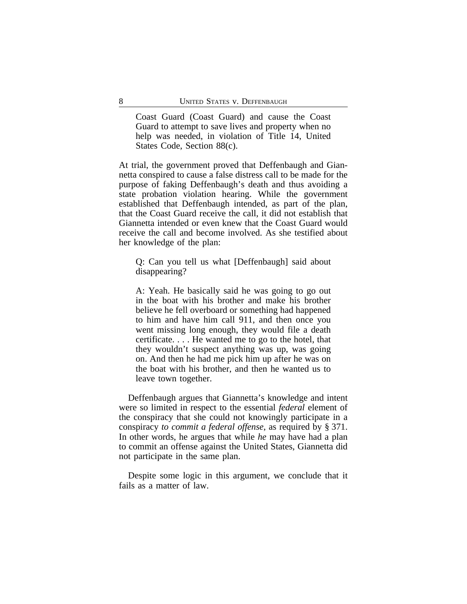Coast Guard (Coast Guard) and cause the Coast Guard to attempt to save lives and property when no help was needed, in violation of Title 14, United States Code, Section 88(c).

At trial, the government proved that Deffenbaugh and Giannetta conspired to cause a false distress call to be made for the purpose of faking Deffenbaugh's death and thus avoiding a state probation violation hearing. While the government established that Deffenbaugh intended, as part of the plan, that the Coast Guard receive the call, it did not establish that Giannetta intended or even knew that the Coast Guard would receive the call and become involved. As she testified about her knowledge of the plan:

Q: Can you tell us what [Deffenbaugh] said about disappearing?

A: Yeah. He basically said he was going to go out in the boat with his brother and make his brother believe he fell overboard or something had happened to him and have him call 911, and then once you went missing long enough, they would file a death certificate. . . . He wanted me to go to the hotel, that they wouldn't suspect anything was up, was going on. And then he had me pick him up after he was on the boat with his brother, and then he wanted us to leave town together.

Deffenbaugh argues that Giannetta's knowledge and intent were so limited in respect to the essential *federal* element of the conspiracy that she could not knowingly participate in a conspiracy *to commit a federal offense*, as required by § 371. In other words, he argues that while *he* may have had a plan to commit an offense against the United States, Giannetta did not participate in the same plan.

Despite some logic in this argument, we conclude that it fails as a matter of law.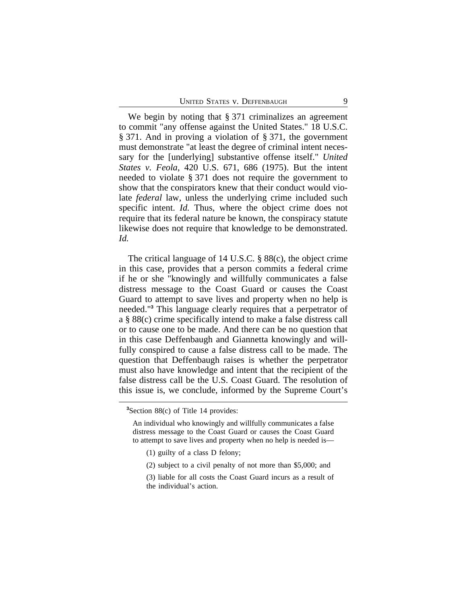We begin by noting that § 371 criminalizes an agreement to commit "any offense against the United States." 18 U.S.C. § 371. And in proving a violation of § 371, the government must demonstrate "at least the degree of criminal intent necessary for the [underlying] substantive offense itself." *United States v. Feola*, 420 U.S. 671, 686 (1975). But the intent needed to violate § 371 does not require the government to show that the conspirators knew that their conduct would violate *federal* law, unless the underlying crime included such specific intent. *Id.* Thus, where the object crime does not require that its federal nature be known, the conspiracy statute likewise does not require that knowledge to be demonstrated. *Id.*

The critical language of 14 U.S.C. § 88(c), the object crime in this case, provides that a person commits a federal crime if he or she "knowingly and willfully communicates a false distress message to the Coast Guard or causes the Coast Guard to attempt to save lives and property when no help is needed."**<sup>3</sup>** This language clearly requires that a perpetrator of a § 88(c) crime specifically intend to make a false distress call or to cause one to be made. And there can be no question that in this case Deffenbaugh and Giannetta knowingly and willfully conspired to cause a false distress call to be made. The question that Deffenbaugh raises is whether the perpetrator must also have knowledge and intent that the recipient of the false distress call be the U.S. Coast Guard. The resolution of this issue is, we conclude, informed by the Supreme Court's

An individual who knowingly and willfully communicates a false distress message to the Coast Guard or causes the Coast Guard to attempt to save lives and property when no help is needed is—

- (1) guilty of a class D felony;
- (2) subject to a civil penalty of not more than \$5,000; and
- (3) liable for all costs the Coast Guard incurs as a result of the individual's action.

**<sup>3</sup>**Section 88(c) of Title 14 provides: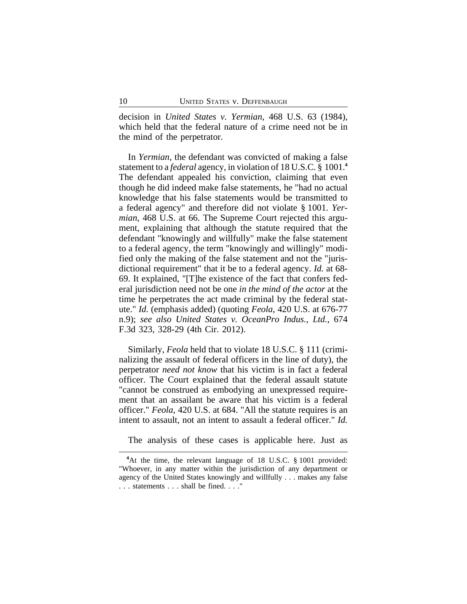decision in *United States v. Yermian*, 468 U.S. 63 (1984), which held that the federal nature of a crime need not be in the mind of the perpetrator.

In *Yermian*, the defendant was convicted of making a false statement to a *federal* agency, in violation of 18 U.S.C. § 1001.**<sup>4</sup>** The defendant appealed his conviction, claiming that even though he did indeed make false statements, he "had no actual knowledge that his false statements would be transmitted to a federal agency" and therefore did not violate § 1001. *Yermian*, 468 U.S. at 66. The Supreme Court rejected this argument, explaining that although the statute required that the defendant "knowingly and willfully" make the false statement to a federal agency, the term "knowingly and willingly" modified only the making of the false statement and not the "jurisdictional requirement" that it be to a federal agency. *Id.* at 68- 69. It explained, "[T]he existence of the fact that confers federal jurisdiction need not be one *in the mind of the actor* at the time he perpetrates the act made criminal by the federal statute." *Id.* (emphasis added) (quoting *Feola*, 420 U.S. at 676-77 n.9); *see also United States v. OceanPro Indus., Ltd.*, 674 F.3d 323, 328-29 (4th Cir. 2012).

Similarly, *Feola* held that to violate 18 U.S.C. § 111 (criminalizing the assault of federal officers in the line of duty), the perpetrator *need not know* that his victim is in fact a federal officer. The Court explained that the federal assault statute "cannot be construed as embodying an unexpressed requirement that an assailant be aware that his victim is a federal officer." *Feola*, 420 U.S. at 684. "All the statute requires is an intent to assault, not an intent to assault a federal officer." *Id.*

The analysis of these cases is applicable here. Just as

**<sup>4</sup>**At the time, the relevant language of 18 U.S.C. § 1001 provided: "Whoever, in any matter within the jurisdiction of any department or agency of the United States knowingly and willfully . . . makes any false . . . statements . . . shall be fined. . . ."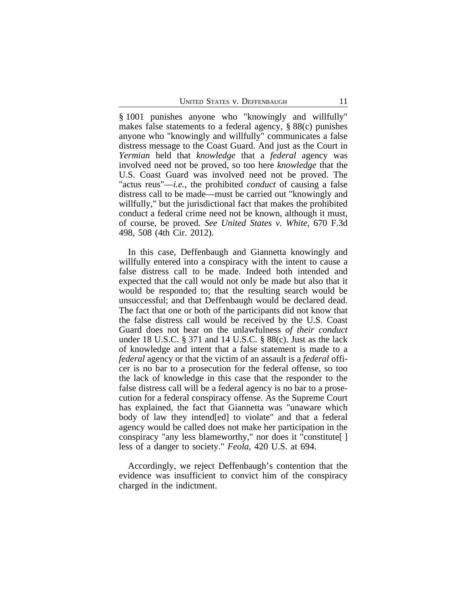§ 1001 punishes anyone who "knowingly and willfully" makes false statements to a federal agency, § 88(c) punishes anyone who "knowingly and willfully" communicates a false distress message to the Coast Guard. And just as the Court in *Yermian* held that *knowledge* that a *federal* agency was involved need not be proved, so too here *knowledge* that the U.S. Coast Guard was involved need not be proved. The "actus reus"—*i.e.*, the prohibited *conduct* of causing a false distress call to be made—must be carried out "knowingly and willfully," but the jurisdictional fact that makes the prohibited conduct a federal crime need not be known, although it must, of course, be proved. *See United States v. White*, 670 F.3d 498, 508 (4th Cir. 2012).

In this case, Deffenbaugh and Giannetta knowingly and willfully entered into a conspiracy with the intent to cause a false distress call to be made. Indeed both intended and expected that the call would not only be made but also that it would be responded to; that the resulting search would be unsuccessful; and that Deffenbaugh would be declared dead. The fact that one or both of the participants did not know that the false distress call would be received by the U.S. Coast Guard does not bear on the unlawfulness *of their conduct* under 18 U.S.C. § 371 and 14 U.S.C. § 88(c). Just as the lack of knowledge and intent that a false statement is made to a *federal* agency or that the victim of an assault is a *federal* officer is no bar to a prosecution for the federal offense, so too the lack of knowledge in this case that the responder to the false distress call will be a federal agency is no bar to a prosecution for a federal conspiracy offense. As the Supreme Court has explained, the fact that Giannetta was "unaware which body of law they intend[ed] to violate" and that a federal agency would be called does not make her participation in the conspiracy "any less blameworthy," nor does it "constitute[ ] less of a danger to society." *Feola*, 420 U.S. at 694.

Accordingly, we reject Deffenbaugh's contention that the evidence was insufficient to convict him of the conspiracy charged in the indictment.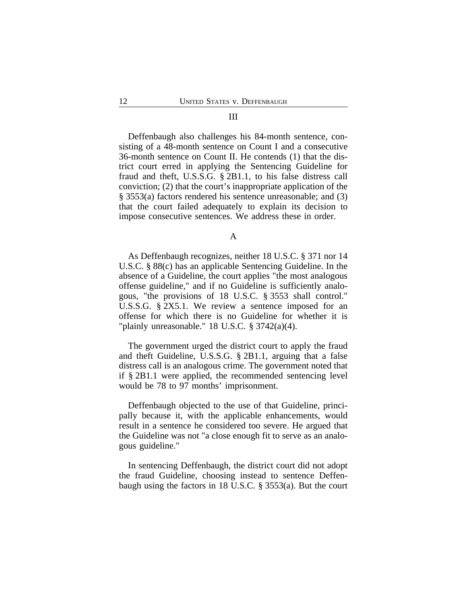#### III

Deffenbaugh also challenges his 84-month sentence, consisting of a 48-month sentence on Count I and a consecutive 36-month sentence on Count II. He contends (1) that the district court erred in applying the Sentencing Guideline for fraud and theft, U.S.S.G. § 2B1.1, to his false distress call conviction; (2) that the court's inappropriate application of the § 3553(a) factors rendered his sentence unreasonable; and (3) that the court failed adequately to explain its decision to impose consecutive sentences. We address these in order.

A

As Deffenbaugh recognizes, neither 18 U.S.C. § 371 nor 14 U.S.C. § 88(c) has an applicable Sentencing Guideline. In the absence of a Guideline, the court applies "the most analogous offense guideline," and if no Guideline is sufficiently analogous, "the provisions of 18 U.S.C. § 3553 shall control." U.S.S.G. § 2X5.1. We review a sentence imposed for an offense for which there is no Guideline for whether it is "plainly unreasonable."  $18$  U.S.C.  $\S 3742(a)(4)$ .

The government urged the district court to apply the fraud and theft Guideline, U.S.S.G. § 2B1.1, arguing that a false distress call is an analogous crime. The government noted that if § 2B1.1 were applied, the recommended sentencing level would be 78 to 97 months' imprisonment.

Deffenbaugh objected to the use of that Guideline, principally because it, with the applicable enhancements, would result in a sentence he considered too severe. He argued that the Guideline was not "a close enough fit to serve as an analogous guideline."

In sentencing Deffenbaugh, the district court did not adopt the fraud Guideline, choosing instead to sentence Deffenbaugh using the factors in 18 U.S.C. § 3553(a). But the court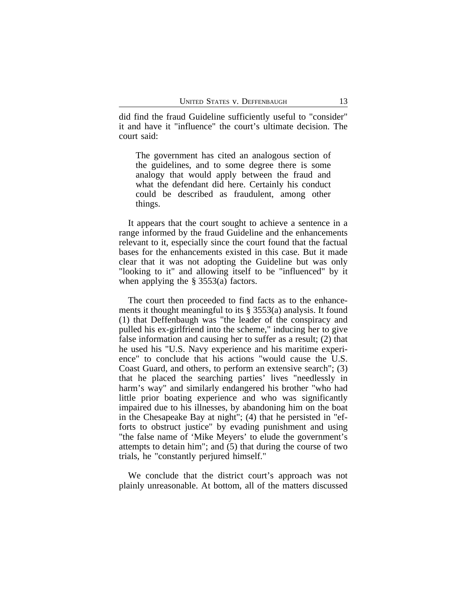did find the fraud Guideline sufficiently useful to "consider" it and have it "influence" the court's ultimate decision. The court said:

The government has cited an analogous section of the guidelines, and to some degree there is some analogy that would apply between the fraud and what the defendant did here. Certainly his conduct could be described as fraudulent, among other things.

It appears that the court sought to achieve a sentence in a range informed by the fraud Guideline and the enhancements relevant to it, especially since the court found that the factual bases for the enhancements existed in this case. But it made clear that it was not adopting the Guideline but was only "looking to it" and allowing itself to be "influenced" by it when applying the § 3553(a) factors.

The court then proceeded to find facts as to the enhancements it thought meaningful to its § 3553(a) analysis. It found (1) that Deffenbaugh was "the leader of the conspiracy and pulled his ex-girlfriend into the scheme," inducing her to give false information and causing her to suffer as a result; (2) that he used his "U.S. Navy experience and his maritime experience" to conclude that his actions "would cause the U.S. Coast Guard, and others, to perform an extensive search"; (3) that he placed the searching parties' lives "needlessly in harm's way" and similarly endangered his brother "who had little prior boating experience and who was significantly impaired due to his illnesses, by abandoning him on the boat in the Chesapeake Bay at night"; (4) that he persisted in "efforts to obstruct justice" by evading punishment and using "the false name of 'Mike Meyers' to elude the government's attempts to detain him"; and (5) that during the course of two trials, he "constantly perjured himself."

We conclude that the district court's approach was not plainly unreasonable. At bottom, all of the matters discussed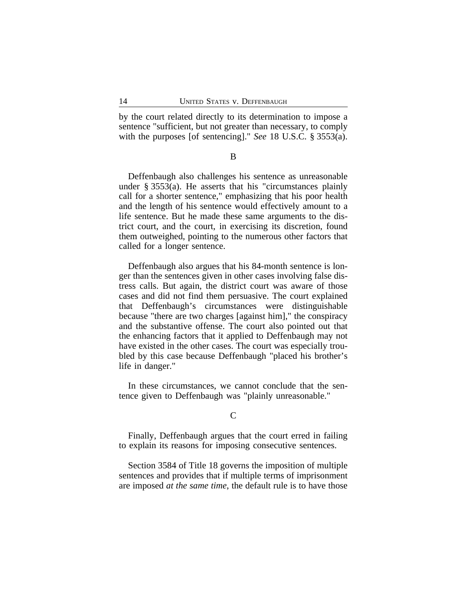by the court related directly to its determination to impose a sentence "sufficient, but not greater than necessary, to comply with the purposes [of sentencing]." *See* 18 U.S.C. § 3553(a).

B

Deffenbaugh also challenges his sentence as unreasonable under § 3553(a). He asserts that his "circumstances plainly call for a shorter sentence," emphasizing that his poor health and the length of his sentence would effectively amount to a life sentence. But he made these same arguments to the district court, and the court, in exercising its discretion, found them outweighed, pointing to the numerous other factors that called for a longer sentence.

Deffenbaugh also argues that his 84-month sentence is longer than the sentences given in other cases involving false distress calls. But again, the district court was aware of those cases and did not find them persuasive. The court explained that Deffenbaugh's circumstances were distinguishable because "there are two charges [against him]," the conspiracy and the substantive offense. The court also pointed out that the enhancing factors that it applied to Deffenbaugh may not have existed in the other cases. The court was especially troubled by this case because Deffenbaugh "placed his brother's life in danger."

In these circumstances, we cannot conclude that the sentence given to Deffenbaugh was "plainly unreasonable."

### $\overline{C}$

Finally, Deffenbaugh argues that the court erred in failing to explain its reasons for imposing consecutive sentences.

Section 3584 of Title 18 governs the imposition of multiple sentences and provides that if multiple terms of imprisonment are imposed *at the same time*, the default rule is to have those